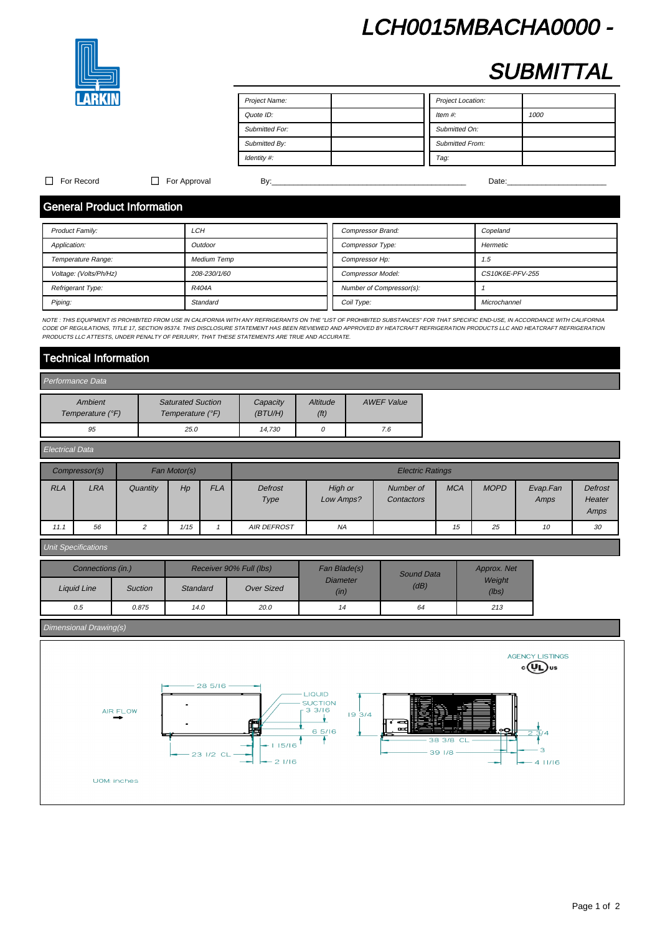# LCH0015MBACHA0000 -



# **SUBMITTAL**

| Project Name:         | Project Location:      |
|-----------------------|------------------------|
| Quote ID:             | Item $#$ :<br>1000     |
| <b>Submitted For:</b> | Submitted On:          |
| Submitted By:         | <b>Submitted From:</b> |
| Identity #:           | Tag:                   |

### For Record For Approval By:\_\_\_\_\_\_\_\_\_\_\_\_\_\_\_\_\_\_\_\_\_\_\_\_\_\_\_\_\_\_\_\_\_\_\_\_\_\_\_\_\_\_\_\_\_ Date:\_\_\_\_\_\_\_\_\_\_\_\_\_\_\_\_\_\_\_\_\_\_\_

# General Product Information

| <b>Product Family:</b> | LCH                | Compressor Brand:        | Copeland        |
|------------------------|--------------------|--------------------------|-----------------|
| Application:           | Outdoor            | <b>Compressor Type:</b>  | Hermetic        |
| Temperature Range:     | <b>Medium Temp</b> | Compressor Hp:           | 1.5             |
| Voltage: (Volts/Ph/Hz) | 208-230/1/60       | <b>Compressor Model:</b> | CS10K6E-PFV-255 |
| Refrigerant Type:      | R404A              | Number of Compressor(s): |                 |
| Piping:                | Standard           | Coil Type:               | Microchannel    |

NOTE : THIS EQUIPMENT IS PROHIBITED FROM USE IN CALIFORNIA WITH ANY REFRIGERANTS ON THE "LIST OF PROHIBITED SUBSTANCES" FOR THAT SPECIFIC END-USE, IN ACCORDANCE WITH CALIFORNIA CODE OF REGULATIONS, TITLE 17, SECTION 95374. THIS DISCLOSURE STATEMENT HAS BEEN REVIEWED AND APPROVED BY HEATCRAFT REFRIGERATION PRODUCTS LLC AND HEATCRAFT REFRIGERATION PRODUCTS AND HEATCRAFT REFRIGERATION PRODUCTS LLC A PRODUCTS LLC ATTESTS, UNDER PENALTY OF PERJURY, THAT THESE STATEMENTS ARE TRUE AND ACCURATE.

## Technical Information

| Performance Data            |                                              |                      |                               |                   |  |  |  |  |
|-----------------------------|----------------------------------------------|----------------------|-------------------------------|-------------------|--|--|--|--|
| Ambient<br>Temperature (°F) | <b>Saturated Suction</b><br>Temperature (°F) | Capacity<br>(BT U/H) | Altitude<br>(f <sup>t</sup> ) | <b>AWEF Value</b> |  |  |  |  |
| 95                          | 25.0                                         | 14.730               |                               | 7.6               |  |  |  |  |

| <b>Electrical Data</b> |               |          |              |            |                         |                      |                         |            |             |                  |                                  |
|------------------------|---------------|----------|--------------|------------|-------------------------|----------------------|-------------------------|------------|-------------|------------------|----------------------------------|
|                        | Compressor(s) |          | Fan Motor(s) |            | <b>Electric Ratings</b> |                      |                         |            |             |                  |                                  |
| <b>RLA</b>             | LRA           | Quantity | Hp           | <b>FLA</b> | Defrost<br>Type         | High or<br>Low Amps? | Number of<br>Contactors | <b>MCA</b> | <b>MOPD</b> | Evap.Fan<br>Amps | <b>Defrost</b><br>Heater<br>Amps |
| 11.1                   | 56            |          | 1/15         |            | <b>AIR DEFROST</b>      | <b>NA</b>            |                         | 15         | 25          | 10               | 30                               |

### Unit Specifications

| Connections (in.) |                | Receiver 90% Full (lbs) |                   | Fan Blade(s)            | Sound Data | Approx. Net     |  |
|-------------------|----------------|-------------------------|-------------------|-------------------------|------------|-----------------|--|
| Liquid Line       | <b>Suction</b> | Standard                | <b>Over Sized</b> | <b>Diameter</b><br>(in) | (dB)       | Weight<br>(lbs) |  |
| 0.5               | 0.875          | 14.0                    | 20.0              | 14                      | 64         | 213             |  |

### Dimensional Drawing(s)